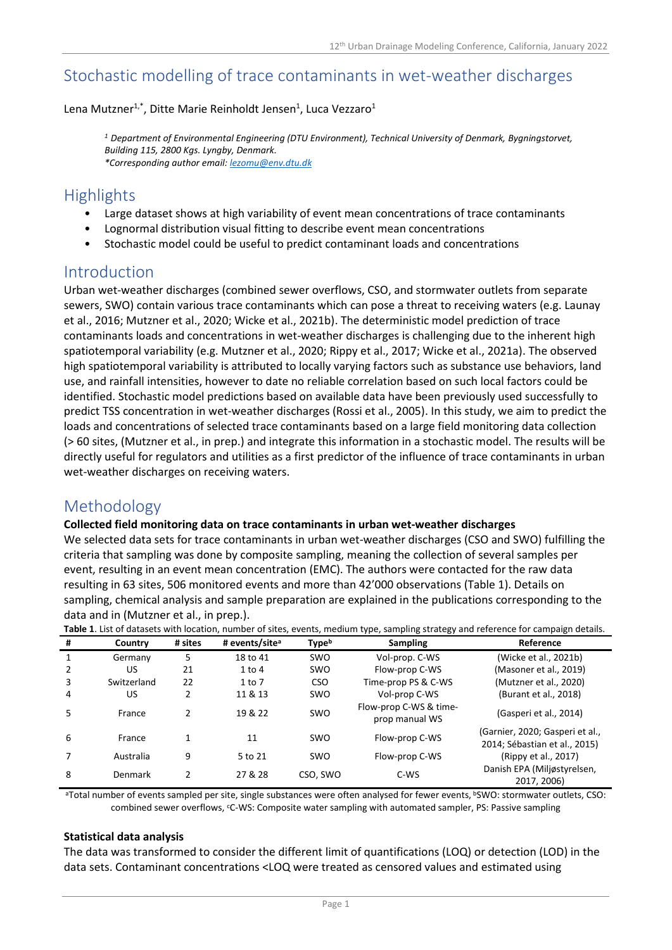# Stochastic modelling of trace contaminants in wet-weather discharges

Lena Mutzner<sup>1,\*</sup>, Ditte Marie Reinholdt Jensen<sup>1</sup>, Luca Vezzaro<sup>1</sup>

*<sup>1</sup> Department of Environmental Engineering (DTU Environment), Technical University of Denmark, Bygningstorvet, Building 115, 2800 Kgs. Lyngby, Denmark. \*Corresponding author email[: lezomu@env.dtu.dk](mailto:lezomu@env.dtu.dk)*

# **Highlights**

- Large dataset shows at high variability of event mean concentrations of trace contaminants
- Lognormal distribution visual fitting to describe event mean concentrations
- Stochastic model could be useful to predict contaminant loads and concentrations

# Introduction

Urban wet-weather discharges (combined sewer overflows, CSO, and stormwater outlets from separate sewers, SWO) contain various trace contaminants which can pose a threat to receiving waters (e.g. Launay et al., 2016; Mutzner et al., 2020; Wicke et al., 2021b). The deterministic model prediction of trace contaminants loads and concentrations in wet-weather discharges is challenging due to the inherent high spatiotemporal variability (e.g. Mutzner et al., 2020; Rippy et al., 2017; Wicke et al., 2021a). The observed high spatiotemporal variability is attributed to locally varying factors such as substance use behaviors, land use, and rainfall intensities, however to date no reliable correlation based on such local factors could be identified. Stochastic model predictions based on available data have been previously used successfully to predict TSS concentration in wet-weather discharges (Rossi et al., 2005). In this study, we aim to predict the loads and concentrations of selected trace contaminants based on a large field monitoring data collection (> 60 sites, (Mutzner et al., in prep.) and integrate this information in a stochastic model. The results will be directly useful for regulators and utilities as a first predictor of the influence of trace contaminants in urban wet-weather discharges on receiving waters.

# Methodology

#### **Collected field monitoring data on trace contaminants in urban wet-weather discharges**

We selected data sets for trace contaminants in urban wet-weather discharges (CSO and SWO) fulfilling the criteria that sampling was done by composite sampling, meaning the collection of several samples per event, resulting in an event mean concentration (EMC). The authors were contacted for the raw data resulting in 63 sites, 506 monitored events and more than 42'000 observations (Table 1). Details on sampling, chemical analysis and sample preparation are explained in the publications corresponding to the data and in (Mutzner et al., in prep.).

| Table 1. List of datasets with location, number of sites, events, medium type, sampling strategy and reference for campaign details. |             |         |                            |                          |                                          |                                                                  |
|--------------------------------------------------------------------------------------------------------------------------------------|-------------|---------|----------------------------|--------------------------|------------------------------------------|------------------------------------------------------------------|
| #                                                                                                                                    | Country     | # sites | # events/site <sup>a</sup> | <b>Type</b> <sup>b</sup> | <b>Sampling</b>                          | Reference                                                        |
|                                                                                                                                      | Germany     | 5       | 18 to 41                   | <b>SWO</b>               | Vol-prop. C-WS                           | (Wicke et al., 2021b)                                            |
|                                                                                                                                      | US          | 21      | $1$ to $4$                 | <b>SWO</b>               | Flow-prop C-WS                           | (Masoner et al., 2019)                                           |
| 3                                                                                                                                    | Switzerland | 22      | 1 to 7                     | <b>CSO</b>               | Time-prop PS & C-WS                      | (Mutzner et al., 2020)                                           |
| 4                                                                                                                                    | US.         |         | 11 & 13                    | <b>SWO</b>               | Vol-prop C-WS                            | (Burant et al., 2018)                                            |
| 5                                                                                                                                    | France      |         | 19 & 22                    | <b>SWO</b>               | Flow-prop C-WS & time-<br>prop manual WS | (Gasperi et al., 2014)                                           |
| 6                                                                                                                                    | France      | 1       | 11                         | <b>SWO</b>               | Flow-prop C-WS                           | (Garnier, 2020; Gasperi et al.,<br>2014; Sébastian et al., 2015) |
|                                                                                                                                      | Australia   | 9       | 5 to 21                    | <b>SWO</b>               | Flow-prop C-WS                           | (Rippy et al., 2017)                                             |
| 8                                                                                                                                    | Denmark     | 2       | 27 & 28                    | CSO, SWO                 | C-WS                                     | Danish EPA (Miljøstyrelsen,<br>2017, 2006)                       |

**Table 1**. List of datasets with location, number of sites, events, medium type, sampling strategy and reference for campaign details.

aTotal number of events sampled per site, single substances were often analysed for fewer events, bSWO: stormwater outlets, CSO: combined sewer overflows, <sup>c</sup>C-WS: Composite water sampling with automated sampler, PS: Passive sampling

#### **Statistical data analysis**

The data was transformed to consider the different limit of quantifications (LOQ) or detection (LOD) in the data sets. Contaminant concentrations <LOQ were treated as censored values and estimated using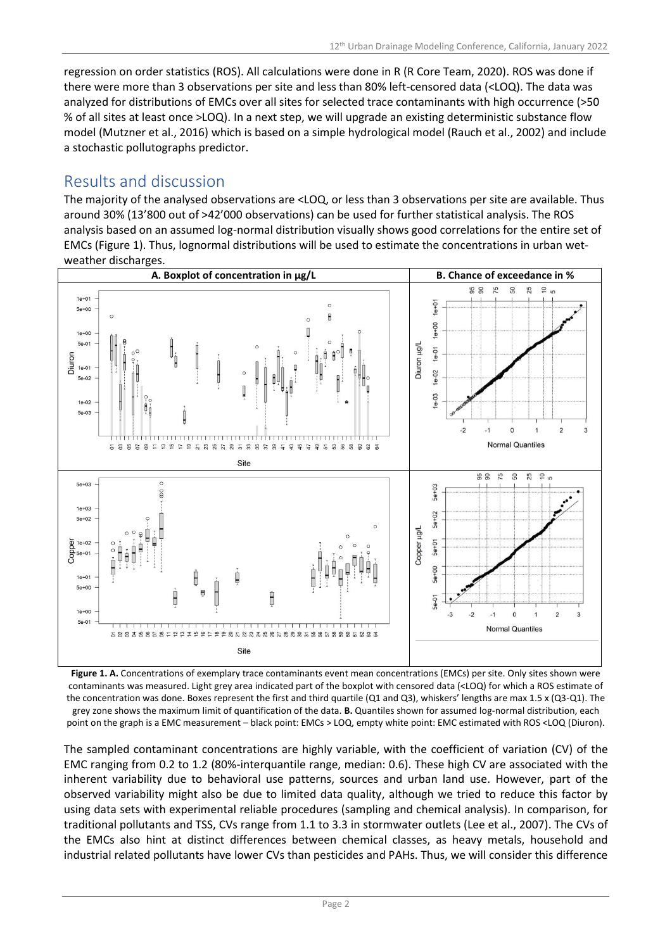regression on order statistics (ROS). All calculations were done in R (R Core Team, 2020). ROS was done if there were more than 3 observations per site and less than 80% left-censored data (<LOQ). The data was analyzed for distributions of EMCs over all sites for selected trace contaminants with high occurrence (>50 % of all sites at least once >LOQ). In a next step, we will upgrade an existing deterministic substance flow model (Mutzner et al., 2016) which is based on a simple hydrological model (Rauch et al., 2002) and include a stochastic pollutographs predictor.

# Results and discussion

The majority of the analysed observations are <LOQ, or less than 3 observations per site are available. Thus around 30% (13'800 out of >42'000 observations) can be used for further statistical analysis. The ROS analysis based on an assumed log-normal distribution visually shows good correlations for the entire set of EMCs (Figure 1). Thus, lognormal distributions will be used to estimate the concentrations in urban wetweather discharges.



**Figure 1. A.** Concentrations of exemplary trace contaminants event mean concentrations (EMCs) per site. Only sites shown were contaminants was measured. Light grey area indicated part of the boxplot with censored data (<LOQ) for which a ROS estimate of the concentration was done. Boxes represent the first and third quartile (Q1 and Q3), whiskers' lengths are max 1.5 x (Q3-Q1). The grey zone shows the maximum limit of quantification of the data. **B.** Quantiles shown for assumed log-normal distribution, each point on the graph is a EMC measurement – black point: EMCs > LOQ, empty white point: EMC estimated with ROS <LOQ (Diuron).

The sampled contaminant concentrations are highly variable, with the coefficient of variation (CV) of the EMC ranging from 0.2 to 1.2 (80%-interquantile range, median: 0.6). These high CV are associated with the inherent variability due to behavioral use patterns, sources and urban land use. However, part of the observed variability might also be due to limited data quality, although we tried to reduce this factor by using data sets with experimental reliable procedures (sampling and chemical analysis). In comparison, for traditional pollutants and TSS, CVs range from 1.1 to 3.3 in stormwater outlets (Lee et al., 2007). The CVs of the EMCs also hint at distinct differences between chemical classes, as heavy metals, household and industrial related pollutants have lower CVs than pesticides and PAHs. Thus, we will consider this difference